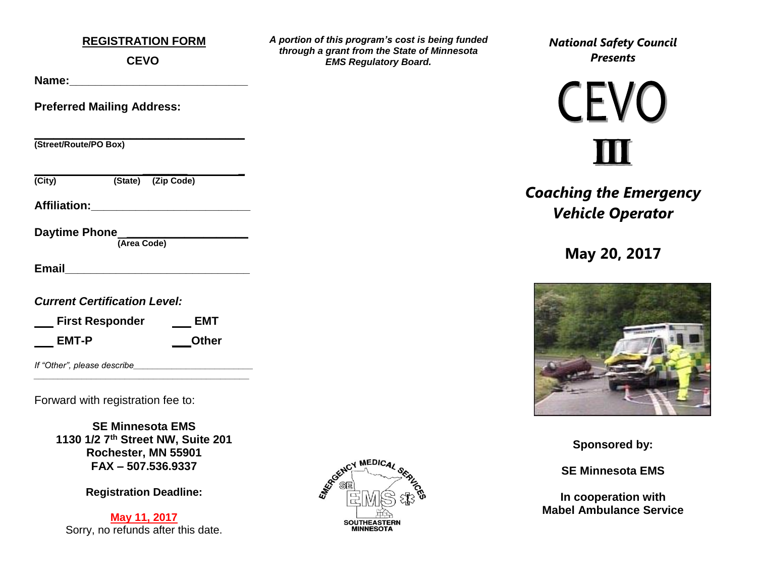#### **REGISTRATION FORM**

**CEVO**

**Name:\_\_\_\_\_\_\_\_\_\_\_\_\_\_\_\_\_\_\_\_\_\_\_\_\_\_\_\_** 

**Preferred Mailing Address:**

**\_\_\_\_\_\_\_\_\_\_\_\_\_\_\_\_\_\_\_\_\_\_\_\_\_\_\_\_\_\_\_\_\_ (Street/Route/PO Box)**

 **\_\_\_\_\_\_\_ \_ (City) (State) (Zip Code)**

**Affiliation:\_\_\_\_\_\_\_\_\_\_\_\_\_\_\_\_\_\_\_\_\_\_\_\_\_** 

**Daytime Phone \_\_\_\_\_\_\_\_\_\_\_\_\_\_\_\_\_\_\_** 

 **(Area Code)**

**Email Email** 

*Current Certification Level:* 

| <b>First Responder</b> | <b>EMT</b>   |
|------------------------|--------------|
| EMT-P                  | <b>Other</b> |

*If "Other", please describe* 

Forward with registration fee to:

**SE Minnesota EMS 1130 1/2 7th Street NW, Suite 201 Rochester, MN 55901 FAX – 507.536.9337**

*\_\_\_\_\_\_\_\_\_\_\_\_\_\_\_\_\_\_\_\_\_\_\_\_\_\_\_\_\_\_\_\_\_\_\_\_\_\_\_\_\_\_\_\_\_*

**Registration Deadline:** 

**May 11, 2017** Sorry, no refunds after this date.



*A portion of this program's cost is being funded through a grant from the State of Minnesota EMS Regulatory Board.*

*National Safety Council Presents*

**CEVO** 

*Coaching the Emergency Vehicle Operator*

**May 20, 2017**



**Sponsored by:**

**SE Minnesota EMS**

**In cooperation with Mabel Ambulance Service**